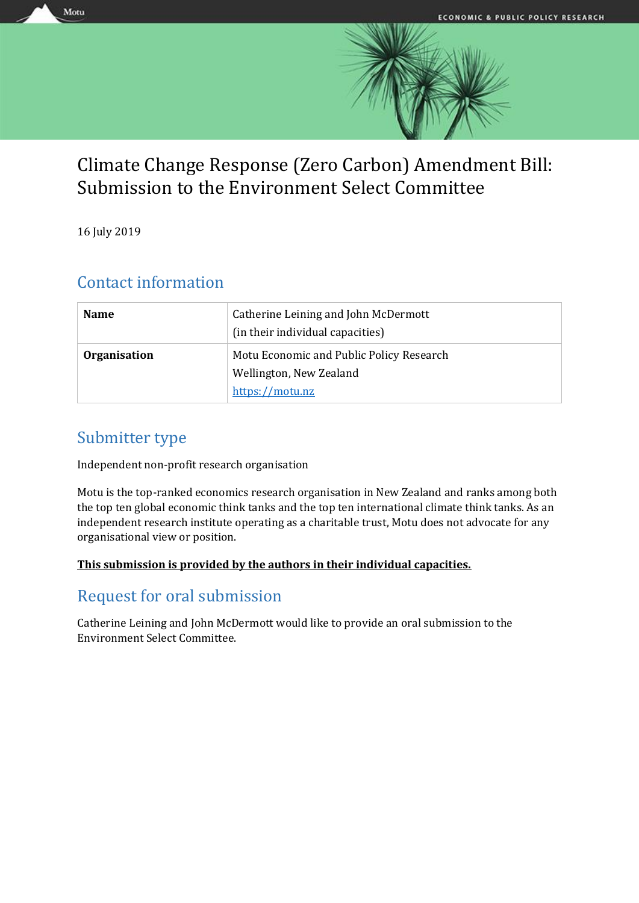

# Climate Change Response (Zero Carbon) Amendment Bill: Submission to the Environment Select Committee

16 July 2019

Motu

## Contact information

| <b>Name</b>         | Catherine Leining and John McDermott<br>(in their individual capacities) |
|---------------------|--------------------------------------------------------------------------|
| <b>Organisation</b> | Motu Economic and Public Policy Research<br>Wellington, New Zealand      |
|                     | https://motu.nz                                                          |

## Submitter type

Independent non-profit research organisation

Motu is the top-ranked economics research organisation in New Zealand and ranks among both the top ten global economic think tanks and the top ten international climate think tanks. As an independent research institute operating as a charitable trust, Motu does not advocate for any organisational view or position.

## **This submission is provided by the authors in their individual capacities.**

## Request for oral submission

Catherine Leining and John McDermott would like to provide an oral submission to the Environment Select Committee.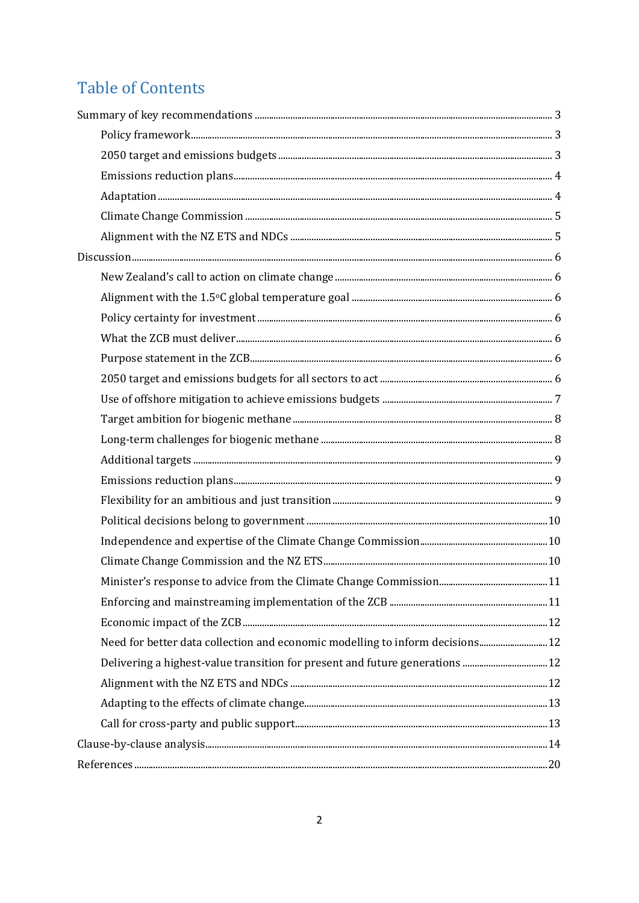# **Table of Contents**

| Need for better data collection and economic modelling to inform decisions 12 |  |
|-------------------------------------------------------------------------------|--|
|                                                                               |  |
|                                                                               |  |
|                                                                               |  |
|                                                                               |  |
|                                                                               |  |
|                                                                               |  |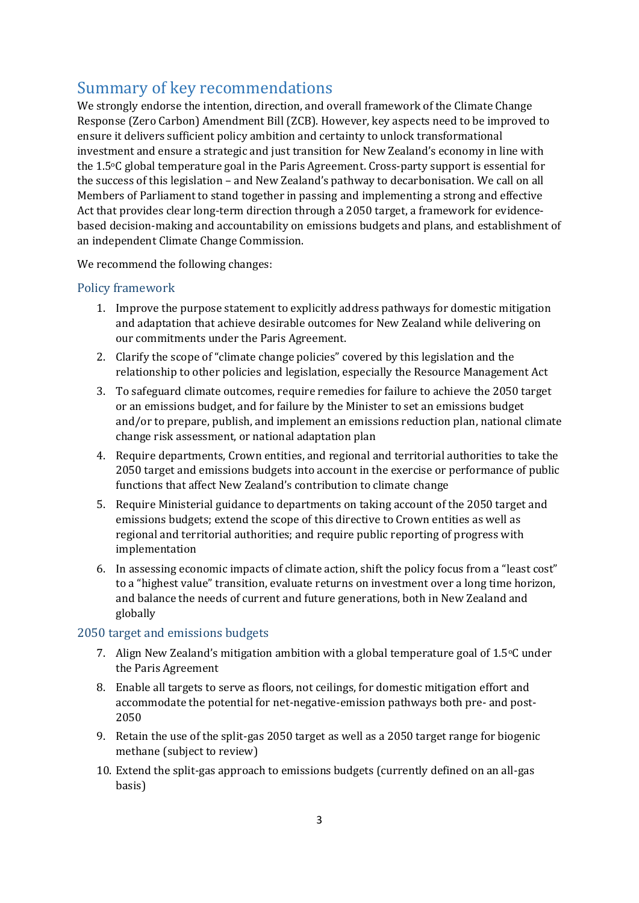## <span id="page-2-0"></span>Summary of key recommendations

We strongly endorse the intention, direction, and overall framework of the Climate Change Response (Zero Carbon) Amendment Bill (ZCB). However, key aspects need to be improved to ensure it delivers sufficient policy ambition and certainty to unlock transformational investment and ensure a strategic and just transition for New Zealand's economy in line with the 1.5oC global temperature goal in the Paris Agreement. Cross-party support is essential for the success of this legislation – and New Zealand's pathway to decarbonisation. We call on all Members of Parliament to stand together in passing and implementing a strong and effective Act that provides clear long-term direction through a 2050 target, a framework for evidencebased decision-making and accountability on emissions budgets and plans, and establishment of an independent Climate Change Commission.

We recommend the following changes:

## <span id="page-2-1"></span>Policy framework

- 1. Improve the purpose statement to explicitly address pathways for domestic mitigation and adaptation that achieve desirable outcomes for New Zealand while delivering on our commitments under the Paris Agreement.
- 2. Clarify the scope of "climate change policies" covered by this legislation and the relationship to other policies and legislation, especially the Resource Management Act
- 3. To safeguard climate outcomes, require remedies for failure to achieve the 2050 target or an emissions budget, and for failure by the Minister to set an emissions budget and/or to prepare, publish, and implement an emissions reduction plan, national climate change risk assessment, or national adaptation plan
- 4. Require departments, Crown entities, and regional and territorial authorities to take the 2050 target and emissions budgets into account in the exercise or performance of public functions that affect New Zealand's contribution to climate change
- 5. Require Ministerial guidance to departments on taking account of the 2050 target and emissions budgets; extend the scope of this directive to Crown entities as well as regional and territorial authorities; and require public reporting of progress with implementation
- 6. In assessing economic impacts of climate action, shift the policy focus from a "least cost" to a "highest value" transition, evaluate returns on investment over a long time horizon, and balance the needs of current and future generations, both in New Zealand and globally

## <span id="page-2-2"></span>2050 target and emissions budgets

- 7. Align New Zealand's mitigation ambition with a global temperature goal of  $1.5\degree$ C under the Paris Agreement
- 8. Enable all targets to serve as floors, not ceilings, for domestic mitigation effort and accommodate the potential for net-negative-emission pathways both pre- and post-2050
- 9. Retain the use of the split-gas 2050 target as well as a 2050 target range for biogenic methane (subject to review)
- 10. Extend the split-gas approach to emissions budgets (currently defined on an all-gas basis)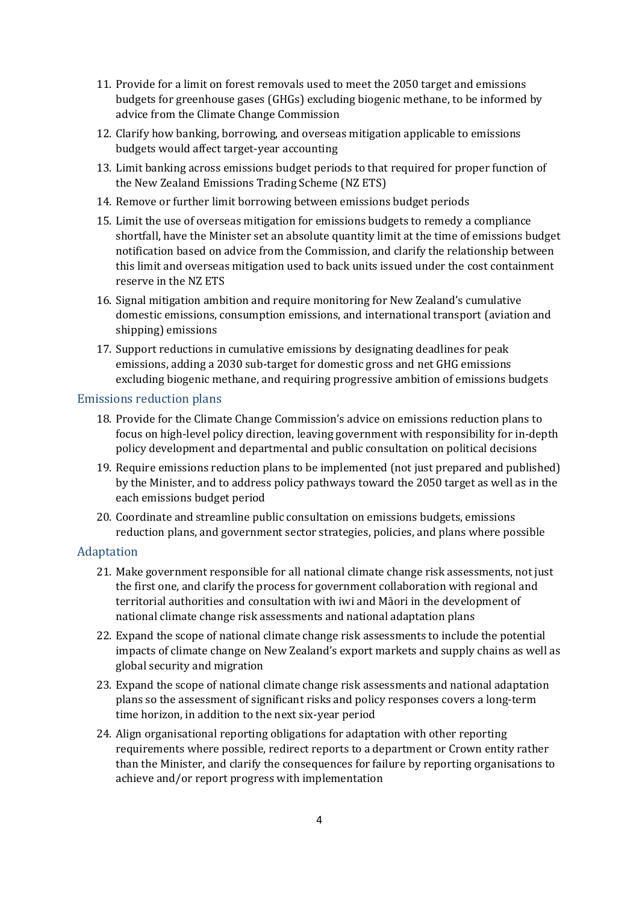- 11. Provide for a limit on forest removals used to meet the 2050 target and emissions budgets for greenhouse gases (GHGs) excluding biogenic methane, to be informed by advice from the Climate Change Commission
- 12. Clarify how banking, borrowing, and overseas mitigation applicable to emissions budgets would affect target-year accounting
- 13. Limit banking across emissions budget periods to that required for proper function of the New Zealand Emissions Trading Scheme (NZ ETS)
- 14. Remove or further limit borrowing between emissions budget periods
- 15. Limit the use of overseas mitigation for emissions budgets to remedy a compliance shortfall, have the Minister set an absolute quantity limit at the time of emissions budget notification based on advice from the Commission, and clarify the relationship between this limit and overseas mitigation used to back units issued under the cost containment reserve in the NZ ETS
- 16. Signal mitigation ambition and require monitoring for New Zealand's cumulative domestic emissions, consumption emissions, and international transport (aviation and shipping) emissions
- 17. Support reductions in cumulative emissions by designating deadlines for peak emissions, adding a 2030 sub-target for domestic gross and net GHG emissions excluding biogenic methane, and requiring progressive ambition of emissions budgets

## <span id="page-3-0"></span>Emissions reduction plans

- 18. Provide for the Climate Change Commission's advice on emissions reduction plans to focus on high-level policy direction, leaving government with responsibility for in-depth policy development and departmental and public consultation on political decisions
- 19. Require emissions reduction plans to be implemented (not just prepared and published) by the Minister, and to address policy pathways toward the 2050 target as well as in the each emissions budget period
- 20. Coordinate and streamline public consultation on emissions budgets, emissions reduction plans, and government sector strategies, policies, and plans where possible

## <span id="page-3-1"></span>Adaptation

- 21. Make government responsible for all national climate change risk assessments, not just the first one, and clarify the process for government collaboration with regional and territorial authorities and consultation with iwi and Māori in the development of national climate change risk assessments and national adaptation plans
- 22. Expand the scope of national climate change risk assessments to include the potential impacts of climate change on New Zealand's export markets and supply chains as well as global security and migration
- 23. Expand the scope of national climate change risk assessments and national adaptation plans so the assessment of significant risks and policy responses covers a long-term time horizon, in addition to the next six-year period
- 24. Align organisational reporting obligations for adaptation with other reporting requirements where possible, redirect reports to a department or Crown entity rather than the Minister, and clarify the consequences for failure by reporting organisations to achieve and/or report progress with implementation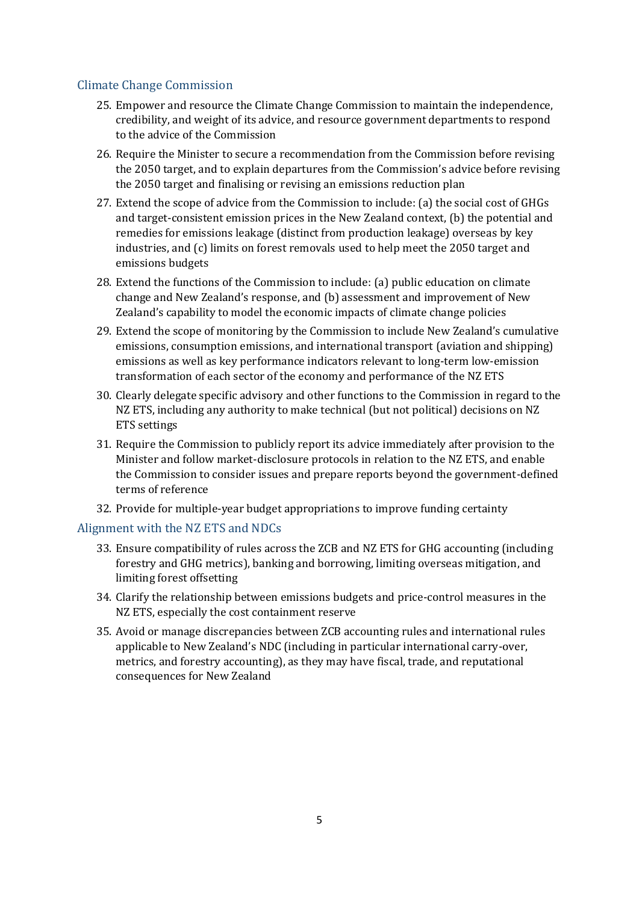## <span id="page-4-0"></span>Climate Change Commission

- 25. Empower and resource the Climate Change Commission to maintain the independence, credibility, and weight of its advice, and resource government departments to respond to the advice of the Commission
- 26. Require the Minister to secure a recommendation from the Commission before revising the 2050 target, and to explain departures from the Commission's advice before revising the 2050 target and finalising or revising an emissions reduction plan
- 27. Extend the scope of advice from the Commission to include: (a) the social cost of GHGs and target-consistent emission prices in the New Zealand context, (b) the potential and remedies for emissions leakage (distinct from production leakage) overseas by key industries, and (c) limits on forest removals used to help meet the 2050 target and emissions budgets
- 28. Extend the functions of the Commission to include: (a) public education on climate change and New Zealand's response, and (b) assessment and improvement of New Zealand's capability to model the economic impacts of climate change policies
- 29. Extend the scope of monitoring by the Commission to include New Zealand's cumulative emissions, consumption emissions, and international transport (aviation and shipping) emissions as well as key performance indicators relevant to long-term low-emission transformation of each sector of the economy and performance of the NZ ETS
- 30. Clearly delegate specific advisory and other functions to the Commission in regard to the NZ ETS, including any authority to make technical (but not political) decisions on NZ ETS settings
- 31. Require the Commission to publicly report its advice immediately after provision to the Minister and follow market-disclosure protocols in relation to the NZ ETS, and enable the Commission to consider issues and prepare reports beyond the government-defined terms of reference
- 32. Provide for multiple-year budget appropriations to improve funding certainty

## <span id="page-4-1"></span>Alignment with the NZ ETS and NDCs

- 33. Ensure compatibility of rules across the ZCB and NZ ETS for GHG accounting (including forestry and GHG metrics), banking and borrowing, limiting overseas mitigation, and limiting forest offsetting
- 34. Clarify the relationship between emissions budgets and price-control measures in the NZ ETS, especially the cost containment reserve
- 35. Avoid or manage discrepancies between ZCB accounting rules and international rules applicable to New Zealand's NDC (including in particular international carry-over, metrics, and forestry accounting), as they may have fiscal, trade, and reputational consequences for New Zealand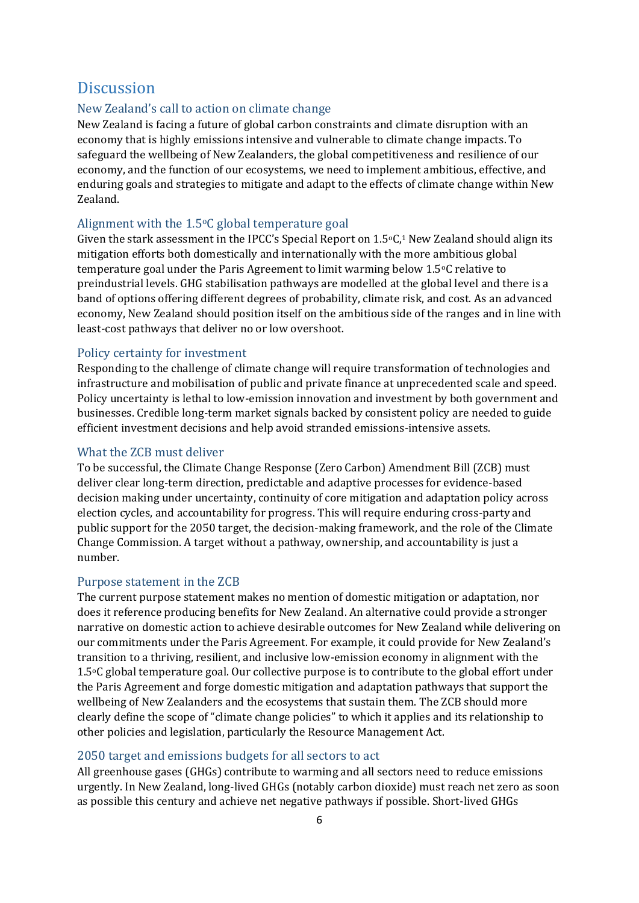## <span id="page-5-0"></span>**Discussion**

## <span id="page-5-1"></span>New Zealand's call to action on climate change

New Zealand is facing a future of global carbon constraints and climate disruption with an economy that is highly emissions intensive and vulnerable to climate change impacts. To safeguard the wellbeing of New Zealanders, the global competitiveness and resilience of our economy, and the function of our ecosystems, we need to implement ambitious, effective, and enduring goals and strategies to mitigate and adapt to the effects of climate change within New Zealand.

## <span id="page-5-2"></span>Alignment with the  $1.5^{\circ}$ C global temperature goal

Given the stark assessment in the IPCC's Special Report on  $1.5\degree C$ , New Zealand should align its mitigation efforts both domestically and internationally with the more ambitious global temperature goal under the Paris Agreement to limit warming below 1.5oC relative to preindustrial levels. GHG stabilisation pathways are modelled at the global level and there is a band of options offering different degrees of probability, climate risk, and cost. As an advanced economy, New Zealand should position itself on the ambitious side of the ranges and in line with least-cost pathways that deliver no or low overshoot.

## <span id="page-5-3"></span>Policy certainty for investment

Responding to the challenge of climate change will require transformation of technologies and infrastructure and mobilisation of public and private finance at unprecedented scale and speed. Policy uncertainty is lethal to low-emission innovation and investment by both government and businesses. Credible long-term market signals backed by consistent policy are needed to guide efficient investment decisions and help avoid stranded emissions-intensive assets.

## <span id="page-5-4"></span>What the ZCB must deliver

To be successful, the Climate Change Response (Zero Carbon) Amendment Bill (ZCB) must deliver clear long-term direction, predictable and adaptive processes for evidence-based decision making under uncertainty, continuity of core mitigation and adaptation policy across election cycles, and accountability for progress. This will require enduring cross-party and public support for the 2050 target, the decision-making framework, and the role of the Climate Change Commission. A target without a pathway, ownership, and accountability is just a number.

## <span id="page-5-5"></span>Purpose statement in the ZCB

The current purpose statement makes no mention of domestic mitigation or adaptation, nor does it reference producing benefits for New Zealand. An alternative could provide a stronger narrative on domestic action to achieve desirable outcomes for New Zealand while delivering on our commitments under the Paris Agreement. For example, it could provide for New Zealand's transition to a thriving, resilient, and inclusive low-emission economy in alignment with the 1.5oC global temperature goal. Our collective purpose is to contribute to the global effort under the Paris Agreement and forge domestic mitigation and adaptation pathways that support the wellbeing of New Zealanders and the ecosystems that sustain them. The ZCB should more clearly define the scope of "climate change policies" to which it applies and its relationship to other policies and legislation, particularly the Resource Management Act.

## <span id="page-5-6"></span>2050 target and emissions budgets for all sectors to act

All greenhouse gases (GHGs) contribute to warming and all sectors need to reduce emissions urgently. In New Zealand, long-lived GHGs (notably carbon dioxide) must reach net zero as soon as possible this century and achieve net negative pathways if possible. Short-lived GHGs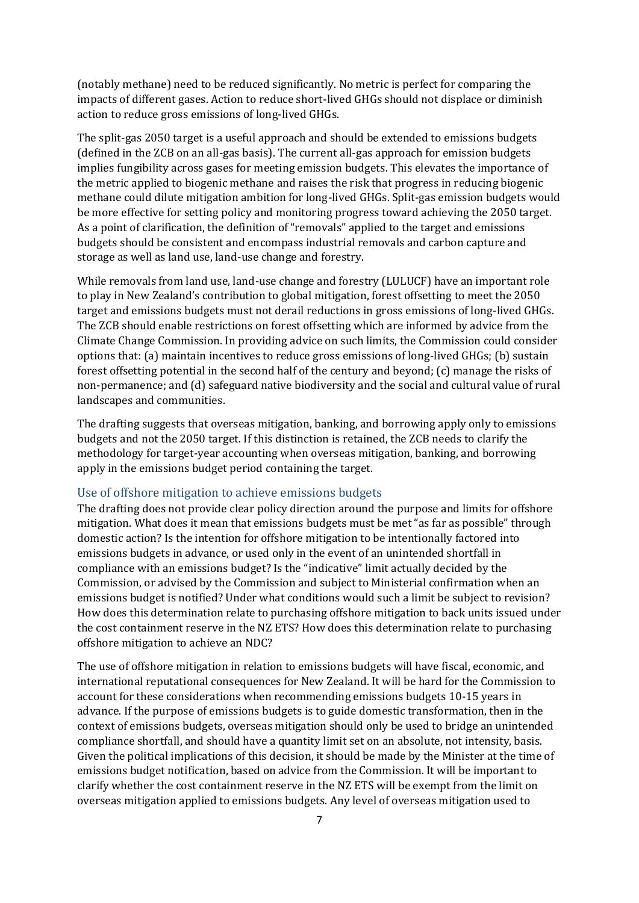(notably methane) need to be reduced significantly. No metric is perfect for comparing the impacts of different gases. Action to reduce short-lived GHGs should not displace or diminish action to reduce gross emissions of long-lived GHGs.

The split-gas 2050 target is a useful approach and should be extended to emissions budgets (defined in the ZCB on an all-gas basis). The current all-gas approach for emission budgets implies fungibility across gases for meeting emission budgets. This elevates the importance of the metric applied to biogenic methane and raises the risk that progress in reducing biogenic methane could dilute mitigation ambition for long-lived GHGs. Split-gas emission budgets would be more effective for setting policy and monitoring progress toward achieving the 2050 target. As a point of clarification, the definition of "removals" applied to the target and emissions budgets should be consistent and encompass industrial removals and carbon capture and storage as well as land use, land-use change and forestry.

While removals from land use, land-use change and forestry (LULUCF) have an important role to play in New Zealand's contribution to global mitigation, forest offsetting to meet the 2050 target and emissions budgets must not derail reductions in gross emissions of long-lived GHGs. The ZCB should enable restrictions on forest offsetting which are informed by advice from the Climate Change Commission. In providing advice on such limits, the Commission could consider options that: (a) maintain incentives to reduce gross emissions of long-lived GHGs; (b) sustain forest offsetting potential in the second half of the century and beyond; (c) manage the risks of non-permanence; and (d) safeguard native biodiversity and the social and cultural value of rural landscapes and communities.

The drafting suggests that overseas mitigation, banking, and borrowing apply only to emissions budgets and not the 2050 target. If this distinction is retained, the ZCB needs to clarify the methodology for target-year accounting when overseas mitigation, banking, and borrowing apply in the emissions budget period containing the target.

### <span id="page-6-0"></span>Use of offshore mitigation to achieve emissions budgets

The drafting does not provide clear policy direction around the purpose and limits for offshore mitigation. What does it mean that emissions budgets must be met "as far as possible" through domestic action? Is the intention for offshore mitigation to be intentionally factored into emissions budgets in advance, or used only in the event of an unintended shortfall in compliance with an emissions budget? Is the "indicative" limit actually decided by the Commission, or advised by the Commission and subject to Ministerial confirmation when an emissions budget is notified? Under what conditions would such a limit be subject to revision? How does this determination relate to purchasing offshore mitigation to back units issued under the cost containment reserve in the NZ ETS? How does this determination relate to purchasing offshore mitigation to achieve an NDC?

The use of offshore mitigation in relation to emissions budgets will have fiscal, economic, and international reputational consequences for New Zealand. It will be hard for the Commission to account for these considerations when recommending emissions budgets 10-15 years in advance. If the purpose of emissions budgets is to guide domestic transformation, then in the context of emissions budgets, overseas mitigation should only be used to bridge an unintended compliance shortfall, and should have a quantity limit set on an absolute, not intensity, basis. Given the political implications of this decision, it should be made by the Minister at the time of emissions budget notification, based on advice from the Commission. It will be important to clarify whether the cost containment reserve in the NZ ETS will be exempt from the limit on overseas mitigation applied to emissions budgets. Any level of overseas mitigation used to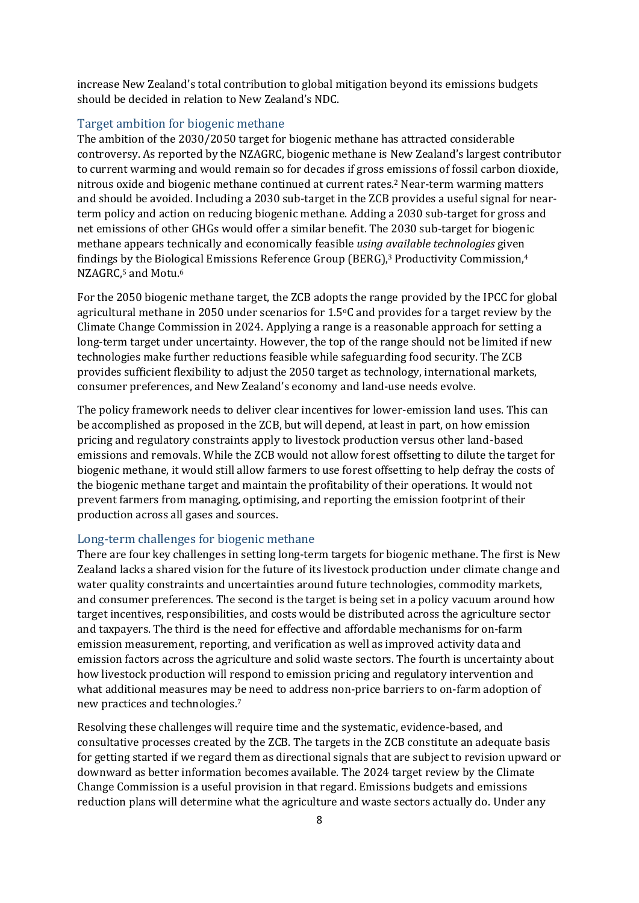increase New Zealand's total contribution to global mitigation beyond its emissions budgets should be decided in relation to New Zealand's NDC.

## <span id="page-7-0"></span>Target ambition for biogenic methane

The ambition of the 2030/2050 target for biogenic methane has attracted considerable controversy. As reported by the NZAGRC, biogenic methane is New Zealand's largest contributor to current warming and would remain so for decades if gross emissions of fossil carbon dioxide, nitrous oxide and biogenic methane continued at current rates. <sup>2</sup> Near-term warming matters and should be avoided. Including a 2030 sub-target in the ZCB provides a useful signal for nearterm policy and action on reducing biogenic methane. Adding a 2030 sub-target for gross and net emissions of other GHGs would offer a similar benefit. The 2030 sub-target for biogenic methane appears technically and economically feasible *using available technologies* given findings by the Biological Emissions Reference Group (BERG),<sup>3</sup> Productivity Commission,<sup>4</sup> NZAGRC,<sup>5</sup> and Motu.<sup>6</sup>

For the 2050 biogenic methane target, the ZCB adopts the range provided by the IPCC for global agricultural methane in 2050 under scenarios for 1.5oC and provides for a target review by the Climate Change Commission in 2024. Applying a range is a reasonable approach for setting a long-term target under uncertainty. However, the top of the range should not be limited if new technologies make further reductions feasible while safeguarding food security. The ZCB provides sufficient flexibility to adjust the 2050 target as technology, international markets, consumer preferences, and New Zealand's economy and land-use needs evolve.

The policy framework needs to deliver clear incentives for lower-emission land uses. This can be accomplished as proposed in the ZCB, but will depend, at least in part, on how emission pricing and regulatory constraints apply to livestock production versus other land-based emissions and removals. While the ZCB would not allow forest offsetting to dilute the target for biogenic methane, it would still allow farmers to use forest offsetting to help defray the costs of the biogenic methane target and maintain the profitability of their operations. It would not prevent farmers from managing, optimising, and reporting the emission footprint of their production across all gases and sources.

## <span id="page-7-1"></span>Long-term challenges for biogenic methane

There are four key challenges in setting long-term targets for biogenic methane. The first is New Zealand lacks a shared vision for the future of its livestock production under climate change and water quality constraints and uncertainties around future technologies, commodity markets, and consumer preferences. The second is the target is being set in a policy vacuum around how target incentives, responsibilities, and costs would be distributed across the agriculture sector and taxpayers. The third is the need for effective and affordable mechanisms for on-farm emission measurement, reporting, and verification as well as improved activity data and emission factors across the agriculture and solid waste sectors. The fourth is uncertainty about how livestock production will respond to emission pricing and regulatory intervention and what additional measures may be need to address non-price barriers to on-farm adoption of new practices and technologies.<sup>7</sup>

Resolving these challenges will require time and the systematic, evidence-based, and consultative processes created by the ZCB. The targets in the ZCB constitute an adequate basis for getting started if we regard them as directional signals that are subject to revision upward or downward as better information becomes available. The 2024 target review by the Climate Change Commission is a useful provision in that regard. Emissions budgets and emissions reduction plans will determine what the agriculture and waste sectors actually do. Under any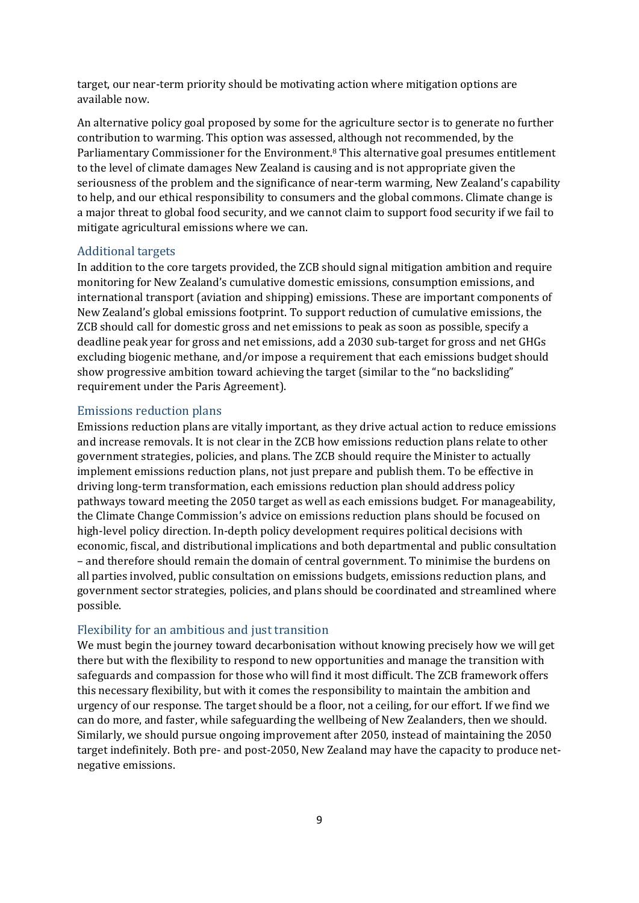target, our near-term priority should be motivating action where mitigation options are available now.

An alternative policy goal proposed by some for the agriculture sector is to generate no further contribution to warming. This option was assessed, although not recommended, by the Parliamentary Commissioner for the Environment.<sup>8</sup> This alternative goal presumes entitlement to the level of climate damages New Zealand is causing and is not appropriate given the seriousness of the problem and the significance of near-term warming, New Zealand's capability to help, and our ethical responsibility to consumers and the global commons. Climate change is a major threat to global food security, and we cannot claim to support food security if we fail to mitigate agricultural emissions where we can.

#### <span id="page-8-0"></span>Additional targets

In addition to the core targets provided, the ZCB should signal mitigation ambition and require monitoring for New Zealand's cumulative domestic emissions, consumption emissions, and international transport (aviation and shipping) emissions. These are important components of New Zealand's global emissions footprint. To support reduction of cumulative emissions, the ZCB should call for domestic gross and net emissions to peak as soon as possible, specify a deadline peak year for gross and net emissions, add a 2030 sub-target for gross and net GHGs excluding biogenic methane, and/or impose a requirement that each emissions budget should show progressive ambition toward achieving the target (similar to the "no backsliding" requirement under the Paris Agreement).

### <span id="page-8-1"></span>Emissions reduction plans

Emissions reduction plans are vitally important, as they drive actual action to reduce emissions and increase removals. It is not clear in the ZCB how emissions reduction plans relate to other government strategies, policies, and plans. The ZCB should require the Minister to actually implement emissions reduction plans, not just prepare and publish them. To be effective in driving long-term transformation, each emissions reduction plan should address policy pathways toward meeting the 2050 target as well as each emissions budget. For manageability, the Climate Change Commission's advice on emissions reduction plans should be focused on high-level policy direction. In-depth policy development requires political decisions with economic, fiscal, and distributional implications and both departmental and public consultation – and therefore should remain the domain of central government. To minimise the burdens on all parties involved, public consultation on emissions budgets, emissions reduction plans, and government sector strategies, policies, and plans should be coordinated and streamlined where possible.

## <span id="page-8-2"></span>Flexibility for an ambitious and just transition

We must begin the journey toward decarbonisation without knowing precisely how we will get there but with the flexibility to respond to new opportunities and manage the transition with safeguards and compassion for those who will find it most difficult. The ZCB framework offers this necessary flexibility, but with it comes the responsibility to maintain the ambition and urgency of our response. The target should be a floor, not a ceiling, for our effort. If we find we can do more, and faster, while safeguarding the wellbeing of New Zealanders, then we should. Similarly, we should pursue ongoing improvement after 2050, instead of maintaining the 2050 target indefinitely. Both pre- and post-2050, New Zealand may have the capacity to produce netnegative emissions.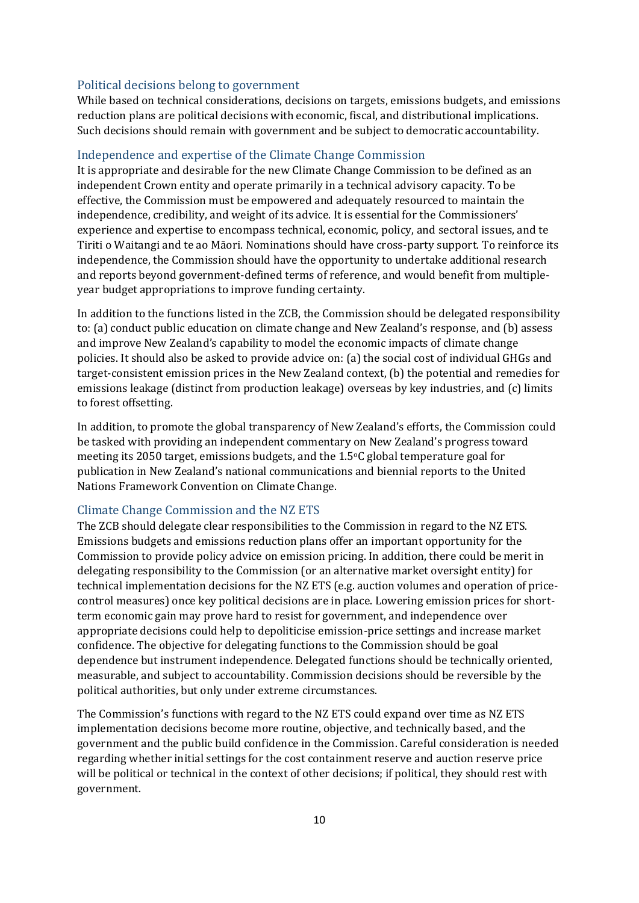### <span id="page-9-0"></span>Political decisions belong to government

While based on technical considerations, decisions on targets, emissions budgets, and emissions reduction plans are political decisions with economic, fiscal, and distributional implications. Such decisions should remain with government and be subject to democratic accountability.

### <span id="page-9-1"></span>Independence and expertise of the Climate Change Commission

It is appropriate and desirable for the new Climate Change Commission to be defined as an independent Crown entity and operate primarily in a technical advisory capacity. To be effective, the Commission must be empowered and adequately resourced to maintain the independence, credibility, and weight of its advice. It is essential for the Commissioners' experience and expertise to encompass technical, economic, policy, and sectoral issues, and te Tiriti o Waitangi and te ao Māori. Nominations should have cross-party support. To reinforce its independence, the Commission should have the opportunity to undertake additional research and reports beyond government-defined terms of reference, and would benefit from multipleyear budget appropriations to improve funding certainty.

In addition to the functions listed in the ZCB, the Commission should be delegated responsibility to: (a) conduct public education on climate change and New Zealand's response, and (b) assess and improve New Zealand's capability to model the economic impacts of climate change policies. It should also be asked to provide advice on: (a) the social cost of individual GHGs and target-consistent emission prices in the New Zealand context, (b) the potential and remedies for emissions leakage (distinct from production leakage) overseas by key industries, and (c) limits to forest offsetting.

In addition, to promote the global transparency of New Zealand's efforts, the Commission could be tasked with providing an independent commentary on New Zealand's progress toward meeting its 2050 target, emissions budgets, and the 1.5oC global temperature goal for publication in New Zealand's national communications and biennial reports to the United Nations Framework Convention on Climate Change.

## <span id="page-9-2"></span>Climate Change Commission and the NZ ETS

The ZCB should delegate clear responsibilities to the Commission in regard to the NZ ETS. Emissions budgets and emissions reduction plans offer an important opportunity for the Commission to provide policy advice on emission pricing. In addition, there could be merit in delegating responsibility to the Commission (or an alternative market oversight entity) for technical implementation decisions for the NZ ETS (e.g. auction volumes and operation of pricecontrol measures) once key political decisions are in place. Lowering emission prices for shortterm economic gain may prove hard to resist for government, and independence over appropriate decisions could help to depoliticise emission-price settings and increase market confidence. The objective for delegating functions to the Commission should be goal dependence but instrument independence. Delegated functions should be technically oriented, measurable, and subject to accountability. Commission decisions should be reversible by the political authorities, but only under extreme circumstances.

The Commission's functions with regard to the NZ ETS could expand over time as NZ ETS implementation decisions become more routine, objective, and technically based, and the government and the public build confidence in the Commission. Careful consideration is needed regarding whether initial settings for the cost containment reserve and auction reserve price will be political or technical in the context of other decisions; if political, they should rest with government.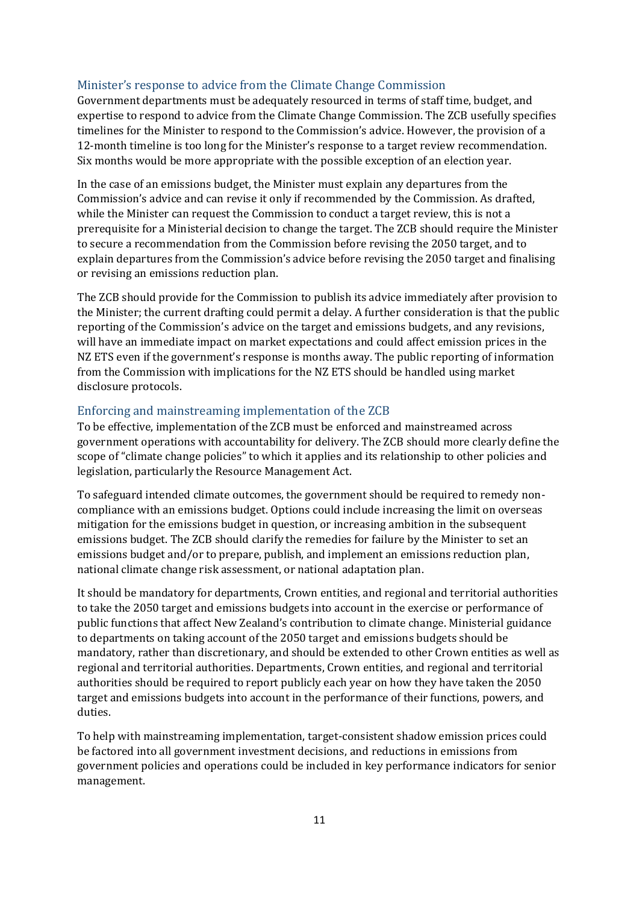## <span id="page-10-0"></span>Minister's response to advice from the Climate Change Commission

Government departments must be adequately resourced in terms of staff time, budget, and expertise to respond to advice from the Climate Change Commission. The ZCB usefully specifies timelines for the Minister to respond to the Commission's advice. However, the provision of a 12-month timeline is too long for the Minister's response to a target review recommendation. Six months would be more appropriate with the possible exception of an election year.

In the case of an emissions budget, the Minister must explain any departures from the Commission's advice and can revise it only if recommended by the Commission. As drafted, while the Minister can request the Commission to conduct a target review, this is not a prerequisite for a Ministerial decision to change the target. The ZCB should require the Minister to secure a recommendation from the Commission before revising the 2050 target, and to explain departures from the Commission's advice before revising the 2050 target and finalising or revising an emissions reduction plan.

The ZCB should provide for the Commission to publish its advice immediately after provision to the Minister; the current drafting could permit a delay. A further consideration is that the public reporting of the Commission's advice on the target and emissions budgets, and any revisions, will have an immediate impact on market expectations and could affect emission prices in the NZ ETS even if the government's response is months away. The public reporting of information from the Commission with implications for the NZ ETS should be handled using market disclosure protocols.

### <span id="page-10-1"></span>Enforcing and mainstreaming implementation of the ZCB

To be effective, implementation of the ZCB must be enforced and mainstreamed across government operations with accountability for delivery. The ZCB should more clearly define the scope of "climate change policies" to which it applies and its relationship to other policies and legislation, particularly the Resource Management Act.

To safeguard intended climate outcomes, the government should be required to remedy noncompliance with an emissions budget. Options could include increasing the limit on overseas mitigation for the emissions budget in question, or increasing ambition in the subsequent emissions budget. The ZCB should clarify the remedies for failure by the Minister to set an emissions budget and/or to prepare, publish, and implement an emissions reduction plan, national climate change risk assessment, or national adaptation plan.

It should be mandatory for departments, Crown entities, and regional and territorial authorities to take the 2050 target and emissions budgets into account in the exercise or performance of public functions that affect New Zealand's contribution to climate change. Ministerial guidance to departments on taking account of the 2050 target and emissions budgets should be mandatory, rather than discretionary, and should be extended to other Crown entities as well as regional and territorial authorities. Departments, Crown entities, and regional and territorial authorities should be required to report publicly each year on how they have taken the 2050 target and emissions budgets into account in the performance of their functions, powers, and duties.

To help with mainstreaming implementation, target-consistent shadow emission prices could be factored into all government investment decisions, and reductions in emissions from government policies and operations could be included in key performance indicators for senior management.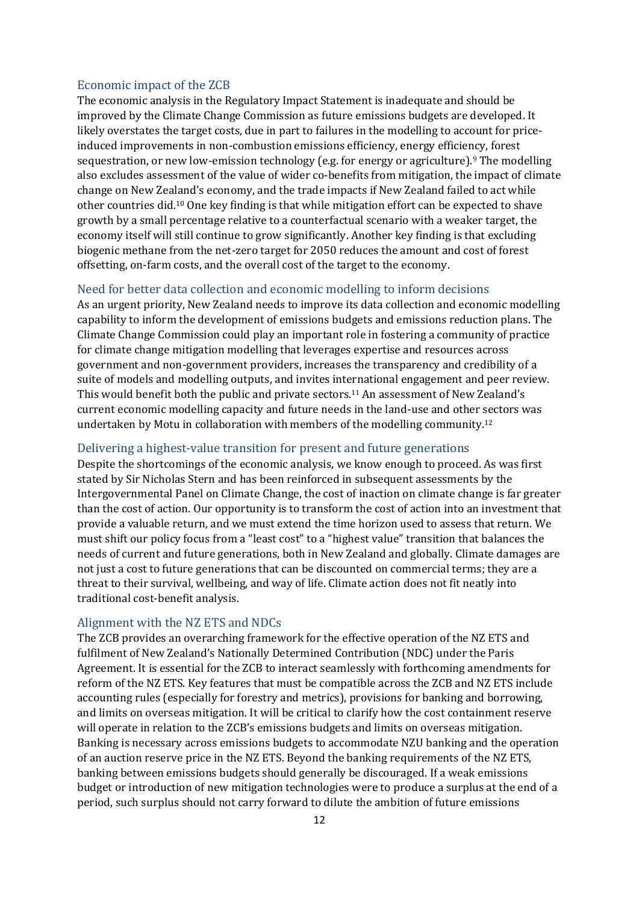## <span id="page-11-0"></span>Economic impact of the ZCB

The economic analysis in the Regulatory Impact Statement is inadequate and should be improved by the Climate Change Commission as future emissions budgets are developed. It likely overstates the target costs, due in part to failures in the modelling to account for priceinduced improvements in non-combustion emissions efficiency, energy efficiency, forest sequestration, or new low-emission technology (e.g. for energy or agriculture).<sup>9</sup> The modelling also excludes assessment of the value of wider co-benefits from mitigation, the impact of climate change on New Zealand's economy, and the trade impacts if New Zealand failed to act while other countries did.<sup>10</sup> One key finding is that while mitigation effort can be expected to shave growth by a small percentage relative to a counterfactual scenario with a weaker target, the economy itself will still continue to grow significantly. Another key finding is that excluding biogenic methane from the net-zero target for 2050 reduces the amount and cost of forest offsetting, on-farm costs, and the overall cost of the target to the economy.

## <span id="page-11-1"></span>Need for better data collection and economic modelling to inform decisions

As an urgent priority, New Zealand needs to improve its data collection and economic modelling capability to inform the development of emissions budgets and emissions reduction plans. The Climate Change Commission could play an important role in fostering a community of practice for climate change mitigation modelling that leverages expertise and resources across government and non-government providers, increases the transparency and credibility of a suite of models and modelling outputs, and invites international engagement and peer review. This would benefit both the public and private sectors.<sup>11</sup> An assessment of New Zealand's current economic modelling capacity and future needs in the land-use and other sectors was undertaken by Motu in collaboration with members of the modelling community.<sup>12</sup>

### <span id="page-11-2"></span>Delivering a highest-value transition for present and future generations

Despite the shortcomings of the economic analysis, we know enough to proceed. As was first stated by Sir Nicholas Stern and has been reinforced in subsequent assessments by the Intergovernmental Panel on Climate Change, the cost of inaction on climate change is far greater than the cost of action. Our opportunity is to transform the cost of action into an investment that provide a valuable return, and we must extend the time horizon used to assess that return. We must shift our policy focus from a "least cost" to a "highest value" transition that balances the needs of current and future generations, both in New Zealand and globally. Climate damages are not just a cost to future generations that can be discounted on commercial terms; they are a threat to their survival, wellbeing, and way of life. Climate action does not fit neatly into traditional cost-benefit analysis.

#### <span id="page-11-3"></span>Alignment with the NZ ETS and NDCs

The ZCB provides an overarching framework for the effective operation of the NZ ETS and fulfilment of New Zealand's Nationally Determined Contribution (NDC) under the Paris Agreement. It is essential for the ZCB to interact seamlessly with forthcoming amendments for reform of the NZ ETS. Key features that must be compatible across the ZCB and NZ ETS include accounting rules (especially for forestry and metrics), provisions for banking and borrowing, and limits on overseas mitigation. It will be critical to clarify how the cost containment reserve will operate in relation to the ZCB's emissions budgets and limits on overseas mitigation. Banking is necessary across emissions budgets to accommodate NZU banking and the operation of an auction reserve price in the NZ ETS. Beyond the banking requirements of the NZ ETS, banking between emissions budgets should generally be discouraged. If a weak emissions budget or introduction of new mitigation technologies were to produce a surplus at the end of a period, such surplus should not carry forward to dilute the ambition of future emissions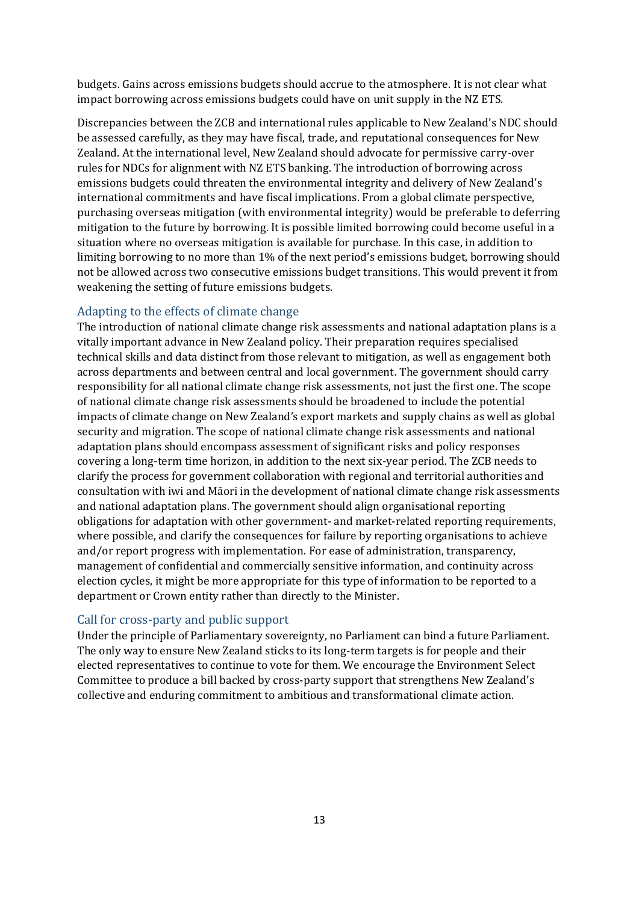budgets. Gains across emissions budgets should accrue to the atmosphere. It is not clear what impact borrowing across emissions budgets could have on unit supply in the NZ ETS.

Discrepancies between the ZCB and international rules applicable to New Zealand's NDC should be assessed carefully, as they may have fiscal, trade, and reputational consequences for New Zealand. At the international level, New Zealand should advocate for permissive carry-over rules for NDCs for alignment with NZ ETS banking. The introduction of borrowing across emissions budgets could threaten the environmental integrity and delivery of New Zealand's international commitments and have fiscal implications. From a global climate perspective, purchasing overseas mitigation (with environmental integrity) would be preferable to deferring mitigation to the future by borrowing. It is possible limited borrowing could become useful in a situation where no overseas mitigation is available for purchase. In this case, in addition to limiting borrowing to no more than 1% of the next period's emissions budget, borrowing should not be allowed across two consecutive emissions budget transitions. This would prevent it from weakening the setting of future emissions budgets.

## <span id="page-12-0"></span>Adapting to the effects of climate change

The introduction of national climate change risk assessments and national adaptation plans is a vitally important advance in New Zealand policy. Their preparation requires specialised technical skills and data distinct from those relevant to mitigation, as well as engagement both across departments and between central and local government. The government should carry responsibility for all national climate change risk assessments, not just the first one. The scope of national climate change risk assessments should be broadened to include the potential impacts of climate change on New Zealand's export markets and supply chains as well as global security and migration. The scope of national climate change risk assessments and national adaptation plans should encompass assessment of significant risks and policy responses covering a long-term time horizon, in addition to the next six-year period. The ZCB needs to clarify the process for government collaboration with regional and territorial authorities and consultation with iwi and Māori in the development of national climate change risk assessments and national adaptation plans. The government should align organisational reporting obligations for adaptation with other government- and market-related reporting requirements, where possible, and clarify the consequences for failure by reporting organisations to achieve and/or report progress with implementation. For ease of administration, transparency, management of confidential and commercially sensitive information, and continuity across election cycles, it might be more appropriate for this type of information to be reported to a department or Crown entity rather than directly to the Minister.

## <span id="page-12-1"></span>Call for cross-party and public support

Under the principle of Parliamentary sovereignty, no Parliament can bind a future Parliament. The only way to ensure New Zealand sticks to its long-term targets is for people and their elected representatives to continue to vote for them. We encourage the Environment Select Committee to produce a bill backed by cross-party support that strengthens New Zealand's collective and enduring commitment to ambitious and transformational climate action.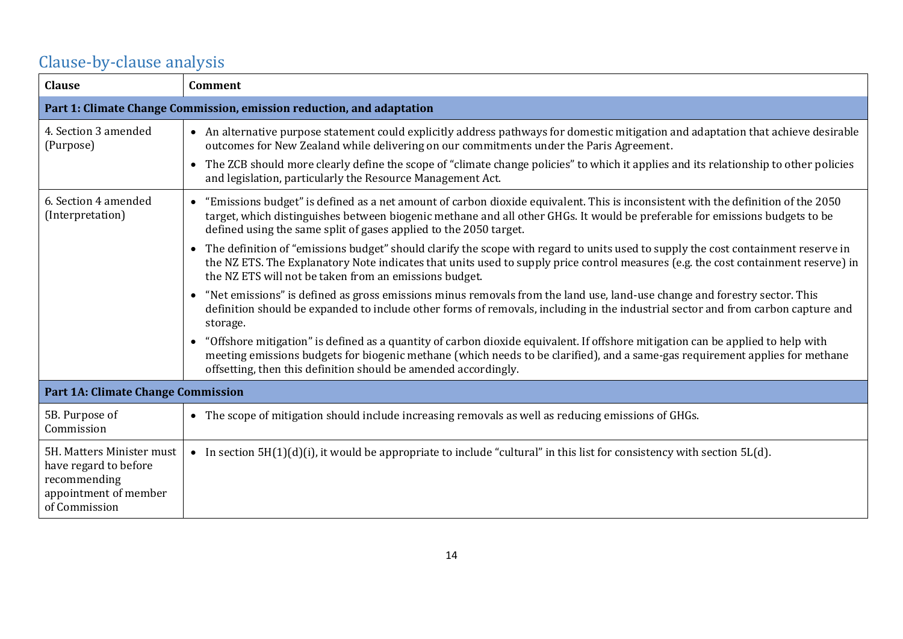# Clause-by-clause analysis

<span id="page-13-0"></span>

| <b>Clause</b>                                                                                                | <b>Comment</b>                                                                                                                                                                                                                                                                                                                                                                                                                                   |
|--------------------------------------------------------------------------------------------------------------|--------------------------------------------------------------------------------------------------------------------------------------------------------------------------------------------------------------------------------------------------------------------------------------------------------------------------------------------------------------------------------------------------------------------------------------------------|
| Part 1: Climate Change Commission, emission reduction, and adaptation                                        |                                                                                                                                                                                                                                                                                                                                                                                                                                                  |
| 4. Section 3 amended<br>(Purpose)                                                                            | • An alternative purpose statement could explicitly address pathways for domestic mitigation and adaptation that achieve desirable<br>outcomes for New Zealand while delivering on our commitments under the Paris Agreement.<br>The ZCB should more clearly define the scope of "climate change policies" to which it applies and its relationship to other policies<br>$\bullet$<br>and legislation, particularly the Resource Management Act. |
| 6. Section 4 amended<br>(Interpretation)                                                                     | "Emissions budget" is defined as a net amount of carbon dioxide equivalent. This is inconsistent with the definition of the 2050<br>$\bullet$<br>target, which distinguishes between biogenic methane and all other GHGs. It would be preferable for emissions budgets to be<br>defined using the same split of gases applied to the 2050 target.                                                                                                |
|                                                                                                              | • The definition of "emissions budget" should clarify the scope with regard to units used to supply the cost containment reserve in<br>the NZ ETS. The Explanatory Note indicates that units used to supply price control measures (e.g. the cost containment reserve) in<br>the NZ ETS will not be taken from an emissions budget.                                                                                                              |
|                                                                                                              | "Net emissions" is defined as gross emissions minus removals from the land use, land-use change and forestry sector. This<br>$\bullet$<br>definition should be expanded to include other forms of removals, including in the industrial sector and from carbon capture and<br>storage.                                                                                                                                                           |
|                                                                                                              | "Offshore mitigation" is defined as a quantity of carbon dioxide equivalent. If offshore mitigation can be applied to help with<br>$\bullet$<br>meeting emissions budgets for biogenic methane (which needs to be clarified), and a same-gas requirement applies for methane<br>offsetting, then this definition should be amended accordingly.                                                                                                  |
| <b>Part 1A: Climate Change Commission</b>                                                                    |                                                                                                                                                                                                                                                                                                                                                                                                                                                  |
| 5B. Purpose of<br>Commission                                                                                 | The scope of mitigation should include increasing removals as well as reducing emissions of GHGs.<br>$\bullet$                                                                                                                                                                                                                                                                                                                                   |
| 5H. Matters Minister must<br>have regard to before<br>recommending<br>appointment of member<br>of Commission | • In section $5H(1)(d)(i)$ , it would be appropriate to include "cultural" in this list for consistency with section $5L(d)$ .                                                                                                                                                                                                                                                                                                                   |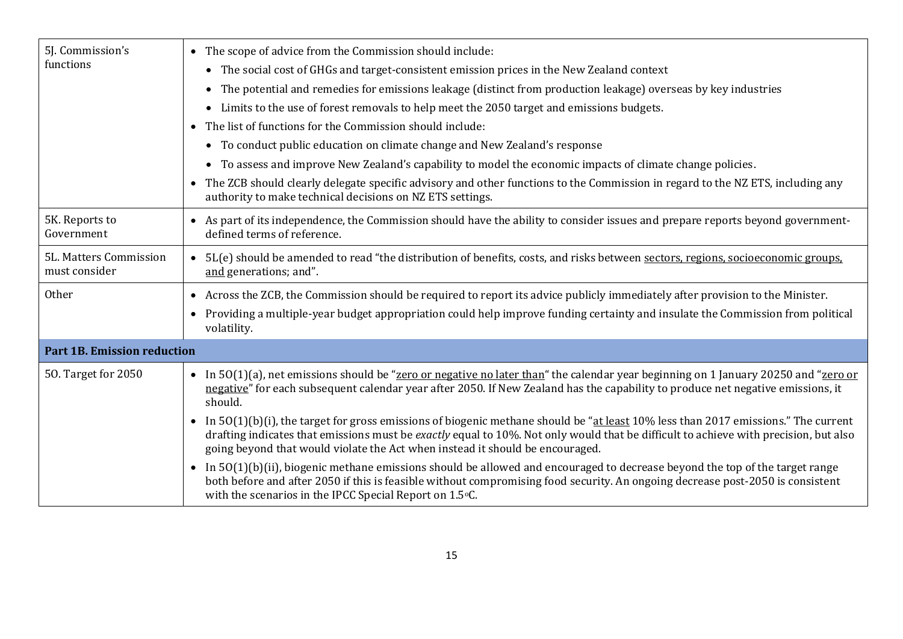| 5J. Commission's<br>functions           | • The scope of advice from the Commission should include:<br>• The social cost of GHGs and target-consistent emission prices in the New Zealand context<br>The potential and remedies for emissions leakage (distinct from production leakage) overseas by key industries<br>$\bullet$<br>Limits to the use of forest removals to help meet the 2050 target and emissions budgets.<br>$\bullet$<br>• The list of functions for the Commission should include:<br>• To conduct public education on climate change and New Zealand's response<br>• To assess and improve New Zealand's capability to model the economic impacts of climate change policies.<br>• The ZCB should clearly delegate specific advisory and other functions to the Commission in regard to the NZ ETS, including any |
|-----------------------------------------|-----------------------------------------------------------------------------------------------------------------------------------------------------------------------------------------------------------------------------------------------------------------------------------------------------------------------------------------------------------------------------------------------------------------------------------------------------------------------------------------------------------------------------------------------------------------------------------------------------------------------------------------------------------------------------------------------------------------------------------------------------------------------------------------------|
|                                         | authority to make technical decisions on NZ ETS settings.                                                                                                                                                                                                                                                                                                                                                                                                                                                                                                                                                                                                                                                                                                                                     |
| 5K. Reports to<br>Government            | • As part of its independence, the Commission should have the ability to consider issues and prepare reports beyond government-<br>defined terms of reference.                                                                                                                                                                                                                                                                                                                                                                                                                                                                                                                                                                                                                                |
| 5L. Matters Commission<br>must consider | • 5L(e) should be amended to read "the distribution of benefits, costs, and risks between sectors, regions, socioeconomic groups,<br>and generations; and".                                                                                                                                                                                                                                                                                                                                                                                                                                                                                                                                                                                                                                   |
| <b>Other</b>                            | Across the ZCB, the Commission should be required to report its advice publicly immediately after provision to the Minister.<br>$\bullet$                                                                                                                                                                                                                                                                                                                                                                                                                                                                                                                                                                                                                                                     |
|                                         | • Providing a multiple-year budget appropriation could help improve funding certainty and insulate the Commission from political<br>volatility.                                                                                                                                                                                                                                                                                                                                                                                                                                                                                                                                                                                                                                               |
| <b>Part 1B. Emission reduction</b>      |                                                                                                                                                                                                                                                                                                                                                                                                                                                                                                                                                                                                                                                                                                                                                                                               |
| 50. Target for 2050                     | • In 50(1)(a), net emissions should be "zero or negative no later than" the calendar year beginning on 1 January 20250 and "zero or<br>negative" for each subsequent calendar year after 2050. If New Zealand has the capability to produce net negative emissions, it<br>should.                                                                                                                                                                                                                                                                                                                                                                                                                                                                                                             |
|                                         | In $50(1)(b)(i)$ , the target for gross emissions of biogenic methane should be "at least 10% less than 2017 emissions." The current<br>drafting indicates that emissions must be exactly equal to 10%. Not only would that be difficult to achieve with precision, but also<br>going beyond that would violate the Act when instead it should be encouraged.                                                                                                                                                                                                                                                                                                                                                                                                                                 |
|                                         | In $50(1)(b)(ii)$ , biogenic methane emissions should be allowed and encouraged to decrease beyond the top of the target range<br>both before and after 2050 if this is feasible without compromising food security. An ongoing decrease post-2050 is consistent<br>with the scenarios in the IPCC Special Report on 1.5°C.                                                                                                                                                                                                                                                                                                                                                                                                                                                                   |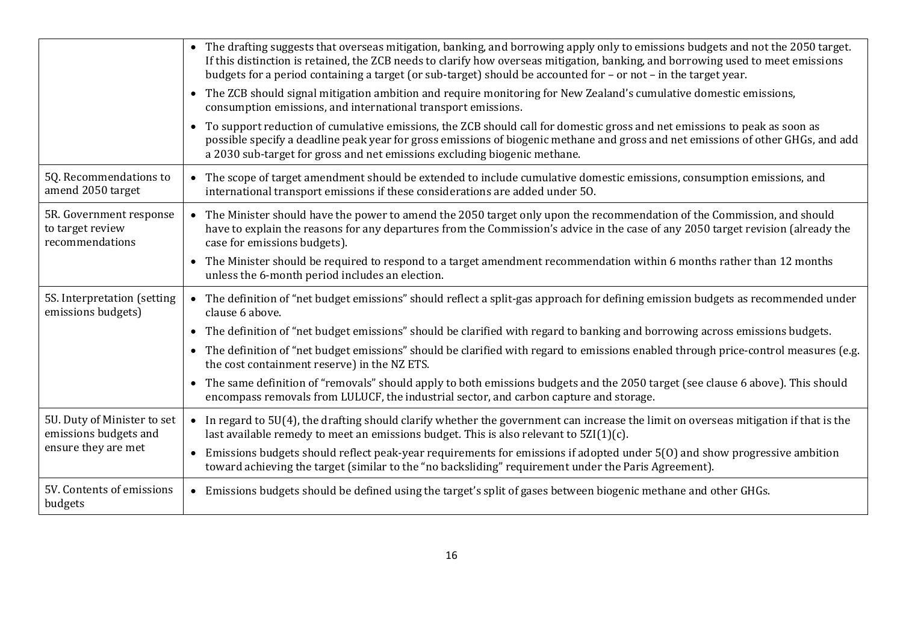|                                                                             | • The drafting suggests that overseas mitigation, banking, and borrowing apply only to emissions budgets and not the 2050 target.<br>If this distinction is retained, the ZCB needs to clarify how overseas mitigation, banking, and borrowing used to meet emissions<br>budgets for a period containing a target (or sub-target) should be accounted for - or not - in the target year. |
|-----------------------------------------------------------------------------|------------------------------------------------------------------------------------------------------------------------------------------------------------------------------------------------------------------------------------------------------------------------------------------------------------------------------------------------------------------------------------------|
|                                                                             | • The ZCB should signal mitigation ambition and require monitoring for New Zealand's cumulative domestic emissions,<br>consumption emissions, and international transport emissions.                                                                                                                                                                                                     |
|                                                                             | To support reduction of cumulative emissions, the ZCB should call for domestic gross and net emissions to peak as soon as<br>$\bullet$<br>possible specify a deadline peak year for gross emissions of biogenic methane and gross and net emissions of other GHGs, and add<br>a 2030 sub-target for gross and net emissions excluding biogenic methane.                                  |
| 5Q. Recommendations to<br>amend 2050 target                                 | • The scope of target amendment should be extended to include cumulative domestic emissions, consumption emissions, and<br>international transport emissions if these considerations are added under 50.                                                                                                                                                                                 |
| 5R. Government response<br>to target review<br>recommendations              | • The Minister should have the power to amend the 2050 target only upon the recommendation of the Commission, and should<br>have to explain the reasons for any departures from the Commission's advice in the case of any 2050 target revision (already the<br>case for emissions budgets).                                                                                             |
|                                                                             | • The Minister should be required to respond to a target amendment recommendation within 6 months rather than 12 months<br>unless the 6-month period includes an election.                                                                                                                                                                                                               |
| 5S. Interpretation (setting<br>emissions budgets)                           | • The definition of "net budget emissions" should reflect a split-gas approach for defining emission budgets as recommended under<br>clause 6 above.                                                                                                                                                                                                                                     |
|                                                                             | The definition of "net budget emissions" should be clarified with regard to banking and borrowing across emissions budgets.<br>$\bullet$                                                                                                                                                                                                                                                 |
|                                                                             | • The definition of "net budget emissions" should be clarified with regard to emissions enabled through price-control measures (e.g.<br>the cost containment reserve) in the NZ ETS.                                                                                                                                                                                                     |
|                                                                             | • The same definition of "removals" should apply to both emissions budgets and the 2050 target (see clause 6 above). This should<br>encompass removals from LULUCF, the industrial sector, and carbon capture and storage.                                                                                                                                                               |
| 5U. Duty of Minister to set<br>emissions budgets and<br>ensure they are met | • In regard to 5U(4), the drafting should clarify whether the government can increase the limit on overseas mitigation if that is the<br>last available remedy to meet an emissions budget. This is also relevant to $5ZI(1)(c)$ .                                                                                                                                                       |
|                                                                             | Emissions budgets should reflect peak-year requirements for emissions if adopted under 5(0) and show progressive ambition<br>$\bullet$<br>toward achieving the target (similar to the "no backsliding" requirement under the Paris Agreement).                                                                                                                                           |
| 5V. Contents of emissions<br>budgets                                        | • Emissions budgets should be defined using the target's split of gases between biogenic methane and other GHGs.                                                                                                                                                                                                                                                                         |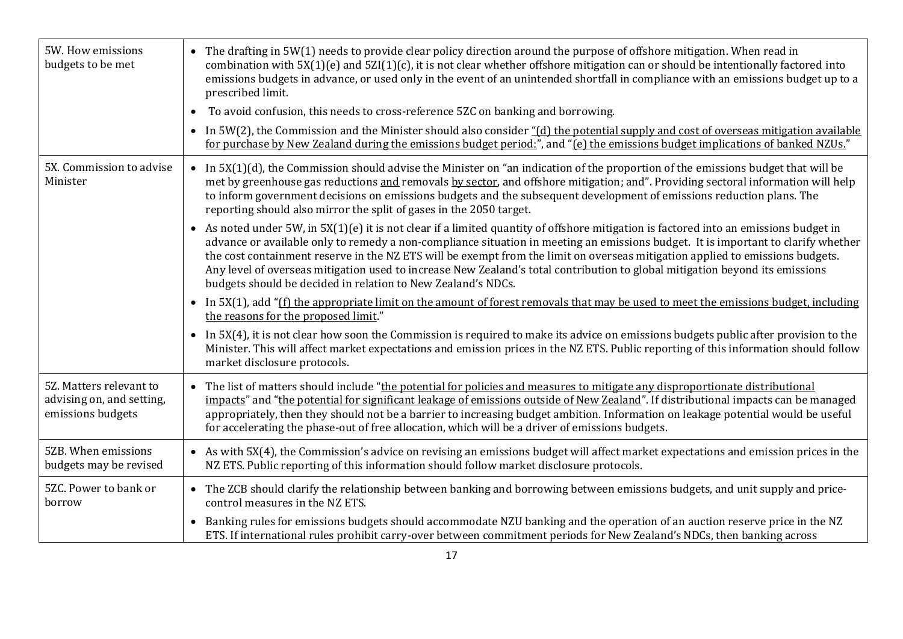| 5W. How emissions<br>budgets to be met                                    | • The drafting in 5W(1) needs to provide clear policy direction around the purpose of offshore mitigation. When read in<br>combination with 5X(1)(e) and 5ZI(1)(c), it is not clear whether offshore mitigation can or should be intentionally factored into<br>emissions budgets in advance, or used only in the event of an unintended shortfall in compliance with an emissions budget up to a<br>prescribed limit.<br>To avoid confusion, this needs to cross-reference 5ZC on banking and borrowing.                                                                                                   |
|---------------------------------------------------------------------------|-------------------------------------------------------------------------------------------------------------------------------------------------------------------------------------------------------------------------------------------------------------------------------------------------------------------------------------------------------------------------------------------------------------------------------------------------------------------------------------------------------------------------------------------------------------------------------------------------------------|
|                                                                           | In 5W(2), the Commission and the Minister should also consider "(d) the potential supply and cost of overseas mitigation available<br>$\bullet$<br>for purchase by New Zealand during the emissions budget period:", and "(e) the emissions budget implications of banked NZUs."                                                                                                                                                                                                                                                                                                                            |
| 5X. Commission to advise<br>Minister                                      | • In $5X(1)(d)$ , the Commission should advise the Minister on "an indication of the proportion of the emissions budget that will be<br>met by greenhouse gas reductions and removals by sector, and offshore mitigation; and". Providing sectoral information will help<br>to inform government decisions on emissions budgets and the subsequent development of emissions reduction plans. The<br>reporting should also mirror the split of gases in the 2050 target.                                                                                                                                     |
|                                                                           | • As noted under 5W, in 5X(1)(e) it is not clear if a limited quantity of offshore mitigation is factored into an emissions budget in<br>advance or available only to remedy a non-compliance situation in meeting an emissions budget. It is important to clarify whether<br>the cost containment reserve in the NZ ETS will be exempt from the limit on overseas mitigation applied to emissions budgets.<br>Any level of overseas mitigation used to increase New Zealand's total contribution to global mitigation beyond its emissions<br>budgets should be decided in relation to New Zealand's NDCs. |
|                                                                           | • In 5X(1), add "(f) the appropriate limit on the amount of forest removals that may be used to meet the emissions budget, including<br>the reasons for the proposed limit."                                                                                                                                                                                                                                                                                                                                                                                                                                |
|                                                                           | • In 5X(4), it is not clear how soon the Commission is required to make its advice on emissions budgets public after provision to the<br>Minister. This will affect market expectations and emission prices in the NZ ETS. Public reporting of this information should follow<br>market disclosure protocols.                                                                                                                                                                                                                                                                                               |
| 5Z. Matters relevant to<br>advising on, and setting,<br>emissions budgets | • The list of matters should include "the potential for policies and measures to mitigate any disproportionate distributional<br>impacts" and "the potential for significant leakage of emissions outside of New Zealand". If distributional impacts can be managed<br>appropriately, then they should not be a barrier to increasing budget ambition. Information on leakage potential would be useful<br>for accelerating the phase-out of free allocation, which will be a driver of emissions budgets.                                                                                                  |
| 5ZB. When emissions<br>budgets may be revised                             | • As with 5X(4), the Commission's advice on revising an emissions budget will affect market expectations and emission prices in the<br>NZ ETS. Public reporting of this information should follow market disclosure protocols.                                                                                                                                                                                                                                                                                                                                                                              |
| 5ZC. Power to bank or<br>borrow                                           | • The ZCB should clarify the relationship between banking and borrowing between emissions budgets, and unit supply and price-<br>control measures in the NZ ETS.                                                                                                                                                                                                                                                                                                                                                                                                                                            |
|                                                                           | • Banking rules for emissions budgets should accommodate NZU banking and the operation of an auction reserve price in the NZ<br>ETS. If international rules prohibit carry-over between commitment periods for New Zealand's NDCs, then banking across                                                                                                                                                                                                                                                                                                                                                      |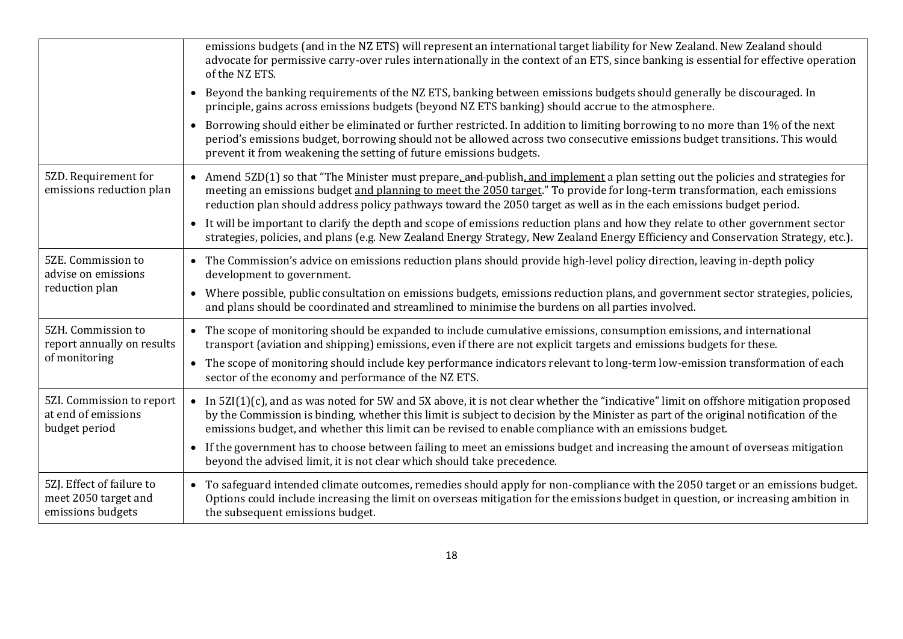|                                                                        | emissions budgets (and in the NZ ETS) will represent an international target liability for New Zealand. New Zealand should<br>advocate for permissive carry-over rules internationally in the context of an ETS, since banking is essential for effective operation<br>of the NZ ETS.                                                                                                    |
|------------------------------------------------------------------------|------------------------------------------------------------------------------------------------------------------------------------------------------------------------------------------------------------------------------------------------------------------------------------------------------------------------------------------------------------------------------------------|
|                                                                        | • Beyond the banking requirements of the NZ ETS, banking between emissions budgets should generally be discouraged. In<br>principle, gains across emissions budgets (beyond NZ ETS banking) should accrue to the atmosphere.                                                                                                                                                             |
|                                                                        | Borrowing should either be eliminated or further restricted. In addition to limiting borrowing to no more than 1% of the next<br>$\bullet$<br>period's emissions budget, borrowing should not be allowed across two consecutive emissions budget transitions. This would<br>prevent it from weakening the setting of future emissions budgets.                                           |
| 5ZD. Requirement for<br>emissions reduction plan                       | • Amend $5ZD(1)$ so that "The Minister must prepare, and publish, and implement a plan setting out the policies and strategies for<br>meeting an emissions budget and planning to meet the 2050 target." To provide for long-term transformation, each emissions<br>reduction plan should address policy pathways toward the 2050 target as well as in the each emissions budget period. |
|                                                                        | • It will be important to clarify the depth and scope of emissions reduction plans and how they relate to other government sector<br>strategies, policies, and plans (e.g. New Zealand Energy Strategy, New Zealand Energy Efficiency and Conservation Strategy, etc.).                                                                                                                  |
| 5ZE. Commission to<br>advise on emissions<br>reduction plan            | • The Commission's advice on emissions reduction plans should provide high-level policy direction, leaving in-depth policy<br>development to government.                                                                                                                                                                                                                                 |
|                                                                        | • Where possible, public consultation on emissions budgets, emissions reduction plans, and government sector strategies, policies,<br>and plans should be coordinated and streamlined to minimise the burdens on all parties involved.                                                                                                                                                   |
| 5ZH. Commission to<br>report annually on results<br>of monitoring      | • The scope of monitoring should be expanded to include cumulative emissions, consumption emissions, and international<br>transport (aviation and shipping) emissions, even if there are not explicit targets and emissions budgets for these.                                                                                                                                           |
|                                                                        | The scope of monitoring should include key performance indicators relevant to long-term low-emission transformation of each<br>$\bullet$<br>sector of the economy and performance of the NZ ETS.                                                                                                                                                                                         |
| 5ZI. Commission to report<br>at end of emissions<br>budget period      | • In 5ZI(1)(c), and as was noted for 5W and 5X above, it is not clear whether the "indicative" limit on offshore mitigation proposed<br>by the Commission is binding, whether this limit is subject to decision by the Minister as part of the original notification of the<br>emissions budget, and whether this limit can be revised to enable compliance with an emissions budget.    |
|                                                                        | • If the government has to choose between failing to meet an emissions budget and increasing the amount of overseas mitigation<br>beyond the advised limit, it is not clear which should take precedence.                                                                                                                                                                                |
| 5ZJ. Effect of failure to<br>meet 2050 target and<br>emissions budgets | To safeguard intended climate outcomes, remedies should apply for non-compliance with the 2050 target or an emissions budget.<br>$\bullet$<br>Options could include increasing the limit on overseas mitigation for the emissions budget in question, or increasing ambition in<br>the subsequent emissions budget.                                                                      |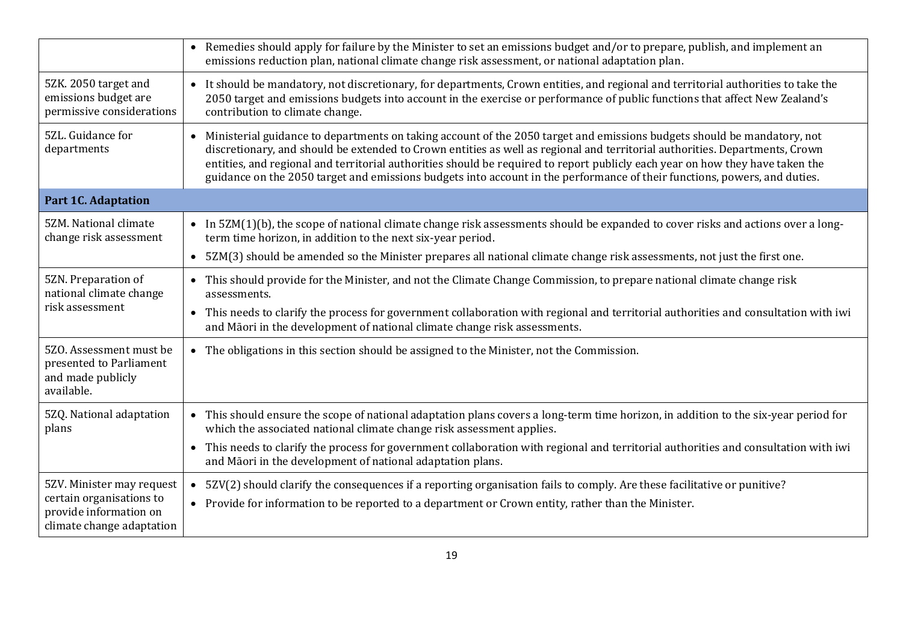|                                                                                                              | Remedies should apply for failure by the Minister to set an emissions budget and/or to prepare, publish, and implement an<br>emissions reduction plan, national climate change risk assessment, or national adaptation plan.                                                                                                                                                                                                                                                                                           |
|--------------------------------------------------------------------------------------------------------------|------------------------------------------------------------------------------------------------------------------------------------------------------------------------------------------------------------------------------------------------------------------------------------------------------------------------------------------------------------------------------------------------------------------------------------------------------------------------------------------------------------------------|
| 5ZK. 2050 target and<br>emissions budget are<br>permissive considerations                                    | • It should be mandatory, not discretionary, for departments, Crown entities, and regional and territorial authorities to take the<br>2050 target and emissions budgets into account in the exercise or performance of public functions that affect New Zealand's<br>contribution to climate change.                                                                                                                                                                                                                   |
| 5ZL. Guidance for<br>departments                                                                             | • Ministerial guidance to departments on taking account of the 2050 target and emissions budgets should be mandatory, not<br>discretionary, and should be extended to Crown entities as well as regional and territorial authorities. Departments, Crown<br>entities, and regional and territorial authorities should be required to report publicly each year on how they have taken the<br>guidance on the 2050 target and emissions budgets into account in the performance of their functions, powers, and duties. |
| <b>Part 1C. Adaptation</b>                                                                                   |                                                                                                                                                                                                                                                                                                                                                                                                                                                                                                                        |
| 5ZM. National climate<br>change risk assessment                                                              | • In 5ZM(1)(b), the scope of national climate change risk assessments should be expanded to cover risks and actions over a long-<br>term time horizon, in addition to the next six-year period.                                                                                                                                                                                                                                                                                                                        |
|                                                                                                              | • 5ZM(3) should be amended so the Minister prepares all national climate change risk assessments, not just the first one.                                                                                                                                                                                                                                                                                                                                                                                              |
| 5ZN. Preparation of<br>national climate change<br>risk assessment                                            | • This should provide for the Minister, and not the Climate Change Commission, to prepare national climate change risk<br>assessments.                                                                                                                                                                                                                                                                                                                                                                                 |
|                                                                                                              | • This needs to clarify the process for government collaboration with regional and territorial authorities and consultation with iwi<br>and Māori in the development of national climate change risk assessments.                                                                                                                                                                                                                                                                                                      |
| 5ZO. Assessment must be<br>presented to Parliament<br>and made publicly<br>available.                        | • The obligations in this section should be assigned to the Minister, not the Commission.                                                                                                                                                                                                                                                                                                                                                                                                                              |
| 5ZQ. National adaptation<br>plans                                                                            | • This should ensure the scope of national adaptation plans covers a long-term time horizon, in addition to the six-year period for<br>which the associated national climate change risk assessment applies.                                                                                                                                                                                                                                                                                                           |
|                                                                                                              | This needs to clarify the process for government collaboration with regional and territorial authorities and consultation with iwi<br>$\bullet$<br>and Māori in the development of national adaptation plans.                                                                                                                                                                                                                                                                                                          |
| 5ZV. Minister may request<br>certain organisations to<br>provide information on<br>climate change adaptation | • 5ZV(2) should clarify the consequences if a reporting organisation fails to comply. Are these facilitative or punitive?<br>• Provide for information to be reported to a department or Crown entity, rather than the Minister.                                                                                                                                                                                                                                                                                       |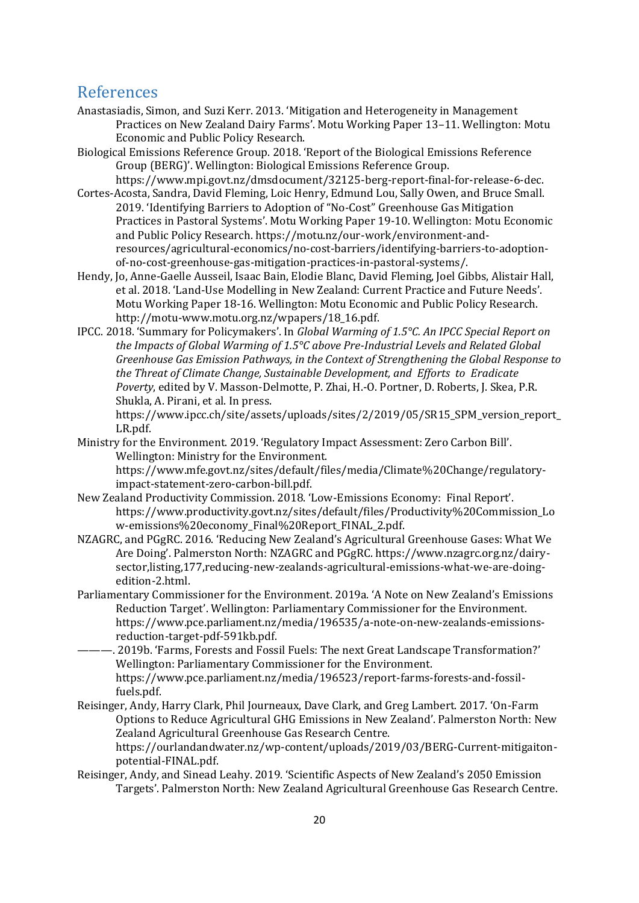## <span id="page-19-0"></span>References

- Anastasiadis, Simon, and Suzi Kerr. 2013. 'Mitigation and Heterogeneity in Management Practices on New Zealand Dairy Farms'. Motu Working Paper 13–11. Wellington: Motu Economic and Public Policy Research.
- Biological Emissions Reference Group. 2018. 'Report of the Biological Emissions Reference Group (BERG)'. Wellington: Biological Emissions Reference Group. https://www.mpi.govt.nz/dmsdocument/32125-berg-report-final-for-release-6-dec.
- Cortes-Acosta, Sandra, David Fleming, Loic Henry, Edmund Lou, Sally Owen, and Bruce Small. 2019. 'Identifying Barriers to Adoption of "No-Cost" Greenhouse Gas Mitigation Practices in Pastoral Systems'. Motu Working Paper 19-10. Wellington: Motu Economic and Public Policy Research. https://motu.nz/our-work/environment-andresources/agricultural-economics/no-cost-barriers/identifying-barriers-to-adoptionof-no-cost-greenhouse-gas-mitigation-practices-in-pastoral-systems/.
- Hendy, Jo, Anne-Gaelle Ausseil, Isaac Bain, Elodie Blanc, David Fleming, Joel Gibbs, Alistair Hall, et al. 2018. 'Land-Use Modelling in New Zealand: Current Practice and Future Needs'. Motu Working Paper 18-16. Wellington: Motu Economic and Public Policy Research. http://motu-www.motu.org.nz/wpapers/18\_16.pdf.
- IPCC. 2018. 'Summary for Policymakers'. In *Global Warming of 1.5°C. An IPCC Special Report on the Impacts of Global Warming of 1.5°C above Pre-Industrial Levels and Related Global Greenhouse Gas Emission Pathways, in the Context of Strengthening the Global Response to the Threat of Climate Change, Sustainable Development, and Efforts to Eradicate Poverty*, edited by V. Masson-Delmotte, P. Zhai, H.-O. Portner, D. Roberts, J. Skea, P.R. Shukla, A. Pirani, et al. In press.

https://www.ipcc.ch/site/assets/uploads/sites/2/2019/05/SR15\_SPM\_version\_report\_ LR.pdf.

Ministry for the Environment. 2019. 'Regulatory Impact Assessment: Zero Carbon Bill'. Wellington: Ministry for the Environment.

https://www.mfe.govt.nz/sites/default/files/media/Climate%20Change/regulatoryimpact-statement-zero-carbon-bill.pdf.

- New Zealand Productivity Commission. 2018. 'Low-Emissions Economy: Final Report'. https://www.productivity.govt.nz/sites/default/files/Productivity%20Commission\_Lo w-emissions%20economy\_Final%20Report\_FINAL\_2.pdf.
- NZAGRC, and PGgRC. 2016. 'Reducing New Zealand's Agricultural Greenhouse Gases: What We Are Doing'. Palmerston North: NZAGRC and PGgRC. https://www.nzagrc.org.nz/dairysector,listing,177,reducing-new-zealands-agricultural-emissions-what-we-are-doingedition-2.html.
- Parliamentary Commissioner for the Environment. 2019a. 'A Note on New Zealand's Emissions Reduction Target'. Wellington: Parliamentary Commissioner for the Environment. https://www.pce.parliament.nz/media/196535/a-note-on-new-zealands-emissionsreduction-target-pdf-591kb.pdf.
- ———. 2019b. 'Farms, Forests and Fossil Fuels: The next Great Landscape Transformation?' Wellington: Parliamentary Commissioner for the Environment. https://www.pce.parliament.nz/media/196523/report-farms-forests-and-fossilfuels.pdf.
- Reisinger, Andy, Harry Clark, Phil Journeaux, Dave Clark, and Greg Lambert. 2017. 'On-Farm Options to Reduce Agricultural GHG Emissions in New Zealand'. Palmerston North: New Zealand Agricultural Greenhouse Gas Research Centre. https://ourlandandwater.nz/wp-content/uploads/2019/03/BERG-Current-mitigaiton-
- potential-FINAL.pdf. Reisinger, Andy, and Sinead Leahy. 2019. 'Scientific Aspects of New Zealand's 2050 Emission Targets'. Palmerston North: New Zealand Agricultural Greenhouse Gas Research Centre.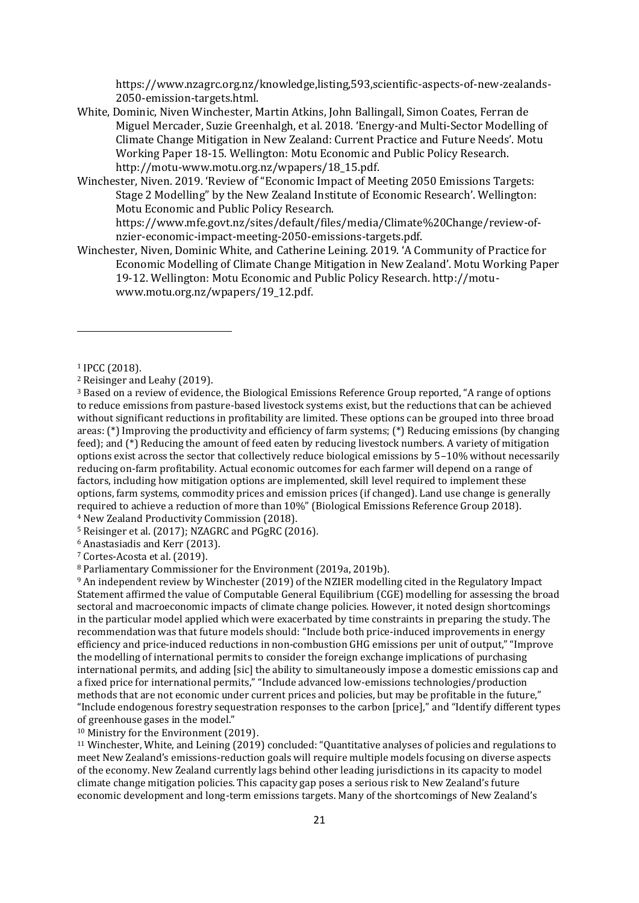https://www.nzagrc.org.nz/knowledge,listing,593,scientific-aspects-of-new-zealands-2050-emission-targets.html.

- White, Dominic, Niven Winchester, Martin Atkins, John Ballingall, Simon Coates, Ferran de Miguel Mercader, Suzie Greenhalgh, et al. 2018. 'Energy-and Multi-Sector Modelling of Climate Change Mitigation in New Zealand: Current Practice and Future Needs'. Motu Working Paper 18-15. Wellington: Motu Economic and Public Policy Research. http://motu-www.motu.org.nz/wpapers/18\_15.pdf.
- Winchester, Niven. 2019. 'Review of "Economic Impact of Meeting 2050 Emissions Targets: Stage 2 Modelling" by the New Zealand Institute of Economic Research'. Wellington: Motu Economic and Public Policy Research.

https://www.mfe.govt.nz/sites/default/files/media/Climate%20Change/review-ofnzier-economic-impact-meeting-2050-emissions-targets.pdf.

Winchester, Niven, Dominic White, and Catherine Leining. 2019. 'A Community of Practice for Economic Modelling of Climate Change Mitigation in New Zealand'. Motu Working Paper 19-12. Wellington: Motu Economic and Public Policy Research. http://motuwww.motu.org.nz/wpapers/19\_12.pdf.

1

<sup>4</sup> New Zealand Productivity Commission (2018).

<sup>5</sup> Reisinger et al. (2017); NZAGRC and PGgRC (2016).

<sup>6</sup> Anastasiadis and Kerr (2013).

<sup>7</sup> Cortes-Acosta et al. (2019).

<sup>8</sup> Parliamentary Commissioner for the Environment (2019a, 2019b).

<sup>9</sup> An independent review by Winchester (2019) of the NZIER modelling cited in the Regulatory Impact Statement affirmed the value of Computable General Equilibrium (CGE) modelling for assessing the broad sectoral and macroeconomic impacts of climate change policies. However, it noted design shortcomings in the particular model applied which were exacerbated by time constraints in preparing the study. The recommendation was that future models should: "Include both price-induced improvements in energy efficiency and price-induced reductions in non-combustion GHG emissions per unit of output," "Improve the modelling of international permits to consider the foreign exchange implications of purchasing international permits, and adding [sic] the ability to simultaneously impose a domestic emissions cap and a fixed price for international permits," "Include advanced low-emissions technologies/production methods that are not economic under current prices and policies, but may be profitable in the future," "Include endogenous forestry sequestration responses to the carbon [price]," and "Identify different types of greenhouse gases in the model."

<sup>10</sup> Ministry for the Environment (2019).

<sup>11</sup> Winchester, White, and Leining (2019) concluded: "Quantitative analyses of policies and regulations to meet New Zealand's emissions-reduction goals will require multiple models focusing on diverse aspects of the economy. New Zealand currently lags behind other leading jurisdictions in its capacity to model climate change mitigation policies. This capacity gap poses a serious risk to New Zealand's future economic development and long-term emissions targets. Many of the shortcomings of New Zealand's

<sup>1</sup> IPCC (2018).

<sup>2</sup> Reisinger and Leahy (2019).

<sup>3</sup> Based on a review of evidence, the Biological Emissions Reference Group reported, "A range of options to reduce emissions from pasture-based livestock systems exist, but the reductions that can be achieved without significant reductions in profitability are limited. These options can be grouped into three broad areas: (\*) Improving the productivity and efficiency of farm systems; (\*) Reducing emissions (by changing feed); and (\*) Reducing the amount of feed eaten by reducing livestock numbers. A variety of mitigation options exist across the sector that collectively reduce biological emissions by 5–10% without necessarily reducing on-farm profitability. Actual economic outcomes for each farmer will depend on a range of factors, including how mitigation options are implemented, skill level required to implement these options, farm systems, commodity prices and emission prices (if changed). Land use change is generally required to achieve a reduction of more than 10%" (Biological Emissions Reference Group 2018).